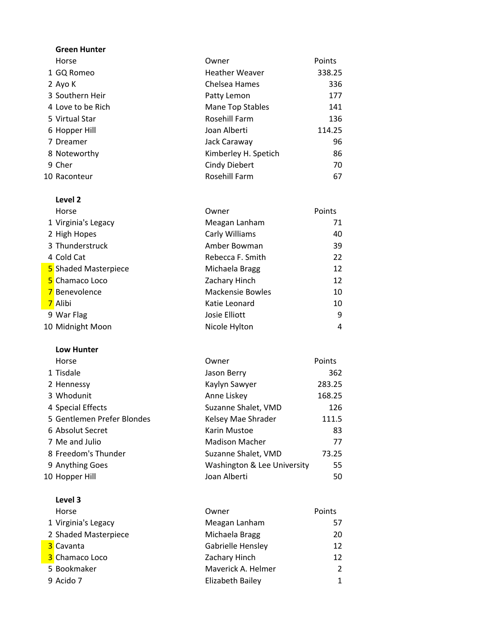| <b>Green Hunter</b> |                       |        |
|---------------------|-----------------------|--------|
| Horse               | Owner                 | Points |
| 1 GQ Romeo          | <b>Heather Weaver</b> | 338.25 |
| 2 Ayo K             | Chelsea Hames         | 336    |
| 3 Southern Heir     | Patty Lemon           | 177    |
| 4 Love to be Rich   | Mane Top Stables      | 141    |
| 5 Virtual Star      | Rosehill Farm         | 136    |
| 6 Hopper Hill       | Joan Alberti          | 114.25 |
| 7 Dreamer           | Jack Caraway          | 96     |
| 8 Noteworthy        | Kimberley H. Spetich  | 86     |
| 9 Cher              | <b>Cindy Diebert</b>  | 70     |
| 10 Raconteur        | Rosehill Farm         | 67     |

| Level 2              |                         |        |
|----------------------|-------------------------|--------|
| Horse                | Owner                   | Points |
| 1 Virginia's Legacy  | Meagan Lanham           | 71     |
| 2 High Hopes         | Carly Williams          | 40     |
| 3 Thunderstruck      | Amber Bowman            | 39     |
| 4 Cold Cat           | Rebecca F. Smith        | 22     |
| 5 Shaded Masterpiece | Michaela Bragg          | 12     |
| 5 Chamaco Loco       | Zachary Hinch           | 12     |
| 7 Benevolence        | <b>Mackensie Bowles</b> | 10     |
| 7 Alibi              | Katie Leonard           | 10     |
| 9 War Flag           | Josie Elliott           | 9      |
| 10 Midnight Moon     | Nicole Hylton           | 4      |

#### Low Hunter

| Horse                      | Owner                       | Points |
|----------------------------|-----------------------------|--------|
| 1 Tisdale                  | Jason Berry                 | 362    |
| 2 Hennessy                 | Kaylyn Sawyer               | 283.25 |
| 3 Whodunit                 | Anne Liskey                 | 168.25 |
| 4 Special Effects          | Suzanne Shalet, VMD         | 126    |
| 5 Gentlemen Prefer Blondes | Kelsey Mae Shrader          | 111.5  |
| 6 Absolut Secret           | Karin Mustoe                | 83     |
| 7 Me and Julio             | <b>Madison Macher</b>       | 77     |
| 8 Freedom's Thunder        | Suzanne Shalet, VMD         | 73.25  |
| 9 Anything Goes            | Washington & Lee University | 55     |
| 10 Hopper Hill             | Joan Alberti                | 50     |

## Level 3

| Horse                | Owner              | Points         |
|----------------------|--------------------|----------------|
| 1 Virginia's Legacy  | Meagan Lanham      | 57             |
| 2 Shaded Masterpiece | Michaela Bragg     | 20             |
| 3 Cavanta            | Gabrielle Hensley  | 12             |
| 3 Chamaco Loco       | Zachary Hinch      | 12             |
| 5 Bookmaker          | Maverick A. Helmer | $\overline{2}$ |
| 9 Acido 7            | Elizabeth Bailey   | 1              |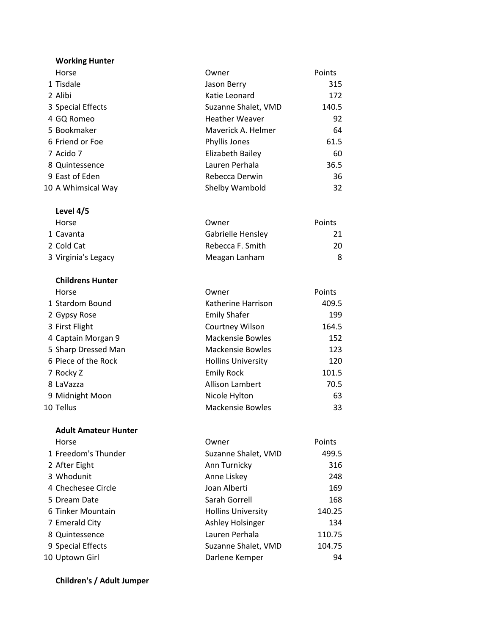| <b>Working Hunter</b> |                       |        |
|-----------------------|-----------------------|--------|
| Horse                 | Owner                 | Points |
| 1 Tisdale             | Jason Berry           | 315    |
| 2 Alibi               | Katie Leonard         | 172    |
| 3 Special Effects     | Suzanne Shalet, VMD   | 140.5  |
| 4 GQ Romeo            | <b>Heather Weaver</b> | 92     |
| 5 Bookmaker           | Maverick A. Helmer    | 64     |
| 6 Friend or Foe       | Phyllis Jones         | 61.5   |
| 7 Acido 7             | Elizabeth Bailey      | 60     |
| 8 Quintessence        | Lauren Perhala        | 36.5   |
| 9 East of Eden        | Rebecca Derwin        | 36     |
| 10 A Whimsical Way    | Shelby Wambold        | 32     |

## Level 4/5 Horse **COMPUTE COMPUTE POINTS** 1 Cavanta **1 Cavanta** 21 2 Cold Cat **Rebecca F. Smith** 20 3 Virginia's Legacy **Meagan Lanham** 8

| Horse               | Owner                     | Points |
|---------------------|---------------------------|--------|
| 1 Stardom Bound     | Katherine Harrison        | 409.5  |
| 2 Gypsy Rose        | <b>Emily Shafer</b>       | 199    |
| 3 First Flight      | Courtney Wilson           | 164.5  |
| 4 Captain Morgan 9  | <b>Mackensie Bowles</b>   | 152    |
| 5 Sharp Dressed Man | <b>Mackensie Bowles</b>   | 123    |
| 6 Piece of the Rock | <b>Hollins University</b> | 120    |
| 7 Rocky Z           | <b>Emily Rock</b>         | 101.5  |
| 8 LaVazza           | <b>Allison Lambert</b>    | 70.5   |
| 9 Midnight Moon     | Nicole Hylton             | 63     |
| 10 Tellus           | <b>Mackensie Bowles</b>   | 33     |

# Adult Amateur Hunter Horse **Contract Contract Contract Contract Contract Contract Contract Contract Contract Contract Contract Contract Contract Contract Contract Contract Contract Contract Contract Contract Contract Contract Contract Contract** 1 Freedom's Thunder Suzanne Shalet, VMD 499.5 2 After Eight **Ann Turnicky** 316 3 Whodunit 248 4 Chechesee Circle **169** Joan Alberti 169 5 Dream Date **Sarah Gorrell** 5 Dream Date 168 6 Tinker Mountain **Fig. 140.25** Hollins University **140.25** 7 Emerald City **Ashley Holsinger** 134 8 Quintessence Lauren Perhala 110.75 9 Special Effects Suzanne Shalet, VMD 104.75 10 Uptown Girl **Darlene Kemper** 94

### Children's / Adult Jumper

Childrens Hunter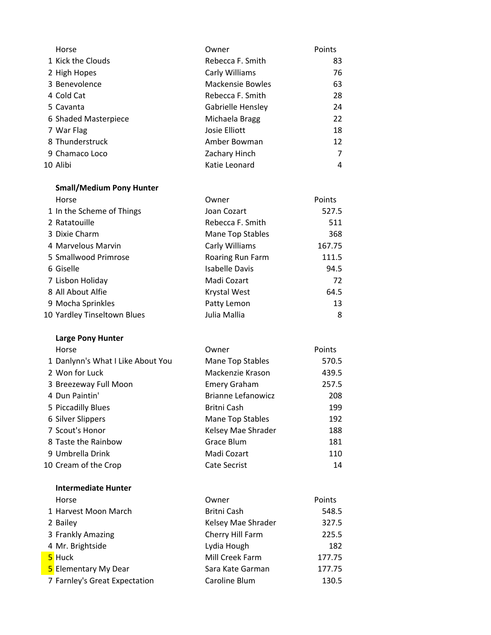| Horse                | Owner                   | Points |
|----------------------|-------------------------|--------|
| 1 Kick the Clouds    | Rebecca F. Smith        | 83     |
| 2 High Hopes         | Carly Williams          | 76     |
| 3 Benevolence        | <b>Mackensie Bowles</b> | 63     |
| 4 Cold Cat           | Rebecca F. Smith        | 28     |
| 5 Cavanta            | Gabrielle Hensley       | 24     |
| 6 Shaded Masterpiece | Michaela Bragg          | 22     |
| 7 War Flag           | Josie Elliott           | 18     |
| 8 Thunderstruck      | Amber Bowman            | 12     |
| 9 Chamaco Loco       | Zachary Hinch           | 7      |
| 10 Alibi             | Katie Leonard           | 4      |

# Small/Medium Pony Hunter

| Horse                       | Owner                 | Points |
|-----------------------------|-----------------------|--------|
| 1 In the Scheme of Things   | Joan Cozart           | 527.5  |
| 2 Ratatouille               | Rebecca F. Smith      | 511    |
| 3 Dixie Charm               | Mane Top Stables      | 368    |
| 4 Marvelous Marvin          | Carly Williams        | 167.75 |
| 5 Smallwood Primrose        | Roaring Run Farm      | 111.5  |
| 6 Giselle                   | <b>Isabelle Davis</b> | 94.5   |
| 7 Lisbon Holiday            | Madi Cozart           | 72     |
| 8 All About Alfie           | Krystal West          | 64.5   |
| 9 Mocha Sprinkles           | Patty Lemon           | 13     |
| 10 Yardley Tinseltown Blues | Julia Mallia          | 8      |

# Large Pony Hunter

| Horse                             | Owner                     | Points |
|-----------------------------------|---------------------------|--------|
| 1 Danlynn's What I Like About You | Mane Top Stables          | 570.5  |
| 2 Won for Luck                    | Mackenzie Krason          | 439.5  |
| 3 Breezeway Full Moon             | <b>Emery Graham</b>       | 257.5  |
| 4 Dun Paintin'                    | <b>Brianne Lefanowicz</b> | 208    |
| 5 Piccadilly Blues                | Britni Cash               | 199    |
| 6 Silver Slippers                 | Mane Top Stables          | 192    |
| 7 Scout's Honor                   | Kelsey Mae Shrader        | 188    |
| 8 Taste the Rainbow               | Grace Blum                | 181    |
| 9 Umbrella Drink                  | Madi Cozart               | 110    |
| 10 Cream of the Crop              | <b>Cate Secrist</b>       | 14     |

| <b>Intermediate Hunter</b>    |                    |        |
|-------------------------------|--------------------|--------|
| Horse                         | Owner              | Points |
| 1 Harvest Moon March          | Britni Cash        | 548.5  |
| 2 Bailey                      | Kelsey Mae Shrader | 327.5  |
| 3 Frankly Amazing             | Cherry Hill Farm   | 225.5  |
| 4 Mr. Brightside              | Lydia Hough        | 182    |
| 5 Huck                        | Mill Creek Farm    | 177.75 |
| <b>5</b> Elementary My Dear   | Sara Kate Garman   | 177.75 |
| 7 Farnley's Great Expectation | Caroline Blum      | 130.5  |
|                               |                    |        |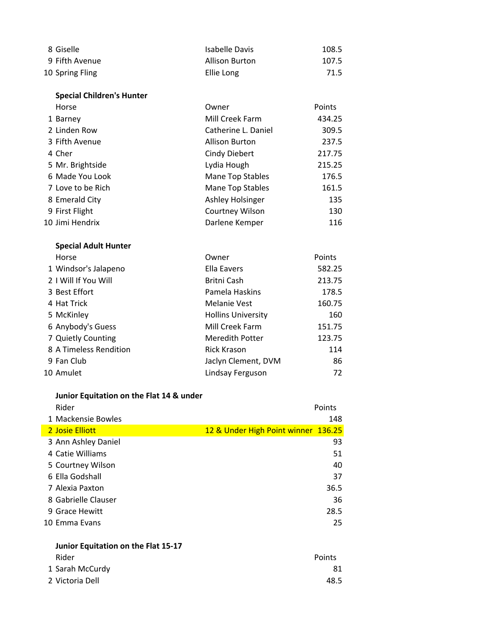| 8 Giselle       | Isabelle Davis | 108.5 |
|-----------------|----------------|-------|
| 9 Fifth Avenue  | Allison Burton | 107.5 |
| 10 Spring Fling | Ellie Long     | 71.5  |

| <b>Special Children's Hunter</b> |                       |        |
|----------------------------------|-----------------------|--------|
| Horse                            | Owner                 | Points |
| 1 Barney                         | Mill Creek Farm       | 434.25 |
| 2 Linden Row                     | Catherine L. Daniel   | 309.5  |
| 3 Fifth Avenue                   | <b>Allison Burton</b> | 237.5  |
| 4 Cher                           | <b>Cindy Diebert</b>  | 217.75 |
| 5 Mr. Brightside                 | Lydia Hough           | 215.25 |
| 6 Made You Look                  | Mane Top Stables      | 176.5  |
| 7 Love to be Rich                | Mane Top Stables      | 161.5  |
| 8 Emerald City                   | Ashley Holsinger      | 135    |
| 9 First Flight                   | Courtney Wilson       | 130    |
| 10 Jimi Hendrix                  | Darlene Kemper        | 116    |

# Special Adult Hunter

| Horse                  | Owner                     | Points |
|------------------------|---------------------------|--------|
| 1 Windsor's Jalapeno   | Ella Eavers               | 582.25 |
| 2   Will If You Will   | Britni Cash               | 213.75 |
| 3 Best Effort          | Pamela Haskins            | 178.5  |
| 4 Hat Trick            | Melanie Vest              | 160.75 |
| 5 McKinley             | <b>Hollins University</b> | 160    |
| 6 Anybody's Guess      | Mill Creek Farm           | 151.75 |
| 7 Quietly Counting     | Meredith Potter           | 123.75 |
| 8 A Timeless Rendition | <b>Rick Krason</b>        | 114    |
| 9 Fan Club             | Jaclyn Clement, DVM       | 86     |
| 10 Amulet              | Lindsay Ferguson          | 72     |

# Junior Equitation on the Flat 14 & under

| Rider                           |                                     | Points |
|---------------------------------|-------------------------------------|--------|
| 1 Mackensie Bowles              |                                     | 148    |
| 2 Josie Elliott                 | 12 & Under High Point winner 136.25 |        |
| 3 Ann Ashley Daniel             |                                     | 93     |
| 4 Catie Williams                |                                     | 51     |
| 5 Courtney Wilson               |                                     | 40     |
| 6 Ella Godshall                 |                                     | 37     |
| 7 Alexia Paxton                 |                                     | 36.5   |
| 8 Gabrielle Clauser             |                                     | 36     |
| 9 Grace Hewitt                  |                                     | 28.5   |
| 10 Emma Evans                   |                                     | 25     |
|                                 |                                     |        |
| エー・ディー・ディー きょうそう しょうしょう けいしゅ あき |                                     |        |

### Junior Equitation on the Flat 15-17 Rider **Points** 1 Sarah McCurdy 81

| 48.5 |
|------|
|      |
|      |